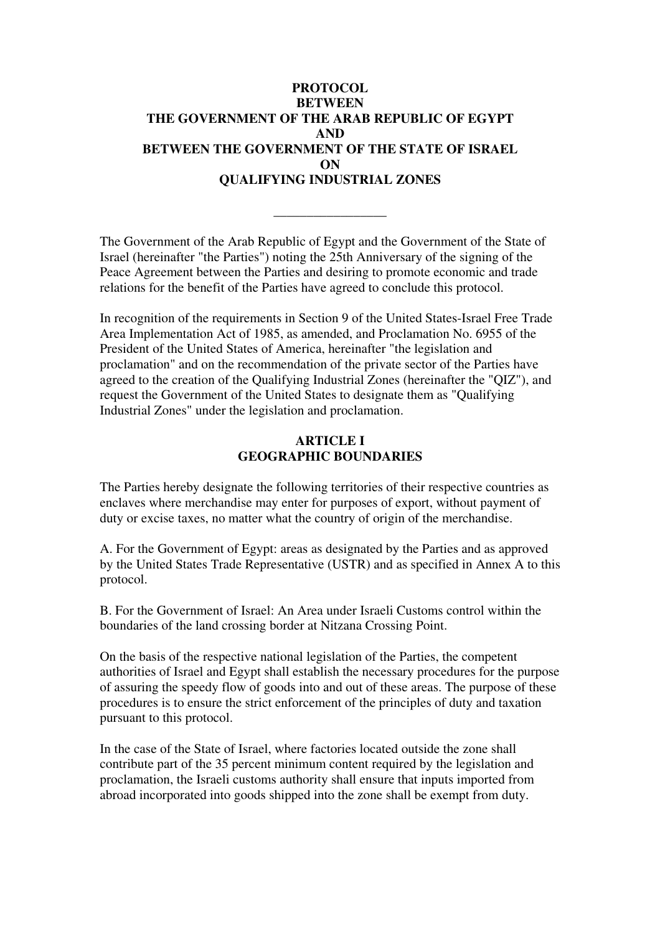## PROTOCOL **BETWEEN** THE GOVERNMENT OF THE ARAB REPUBLIC OF EGYPT AND BETWEEN THE GOVERNMENT OF THE STATE OF ISRAEL ON QUALIFYING INDUSTRIAL ZONES

\_\_\_\_\_\_\_\_\_\_\_\_\_\_\_\_\_

The Government of the Arab Republic of Egypt and the Government of the State of Israel (hereinafter "the Parties") noting the 25th Anniversary of the signing of the Peace Agreement between the Parties and desiring to promote economic and trade relations for the benefit of the Parties have agreed to conclude this protocol.

In recognition of the requirements in Section 9 of the United States-Israel Free Trade Area Implementation Act of 1985, as amended, and Proclamation No. 6955 of the President of the United States of America, hereinafter "the legislation and proclamation" and on the recommendation of the private sector of the Parties have agreed to the creation of the Qualifying Industrial Zones (hereinafter the "QIZ"), and request the Government of the United States to designate them as "Qualifying Industrial Zones" under the legislation and proclamation.

# ARTICLE I GEOGRAPHIC BOUNDARIES

The Parties hereby designate the following territories of their respective countries as enclaves where merchandise may enter for purposes of export, without payment of duty or excise taxes, no matter what the country of origin of the merchandise.

A. For the Government of Egypt: areas as designated by the Parties and as approved by the United States Trade Representative (USTR) and as specified in Annex A to this protocol.

B. For the Government of Israel: An Area under Israeli Customs control within the boundaries of the land crossing border at Nitzana Crossing Point.

On the basis of the respective national legislation of the Parties, the competent authorities of Israel and Egypt shall establish the necessary procedures for the purpose of assuring the speedy flow of goods into and out of these areas. The purpose of these procedures is to ensure the strict enforcement of the principles of duty and taxation pursuant to this protocol.

In the case of the State of Israel, where factories located outside the zone shall contribute part of the 35 percent minimum content required by the legislation and proclamation, the Israeli customs authority shall ensure that inputs imported from abroad incorporated into goods shipped into the zone shall be exempt from duty.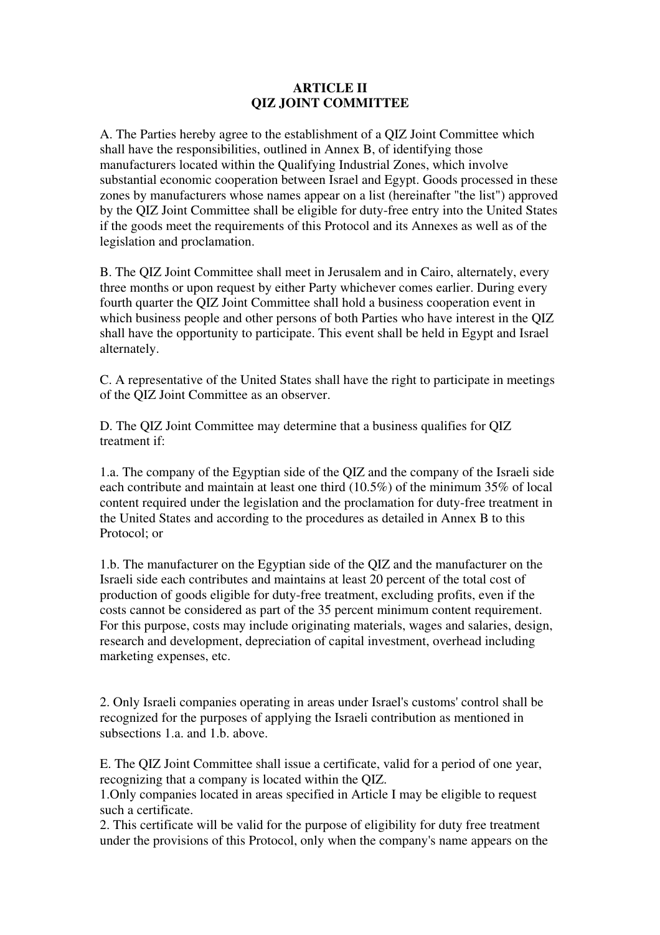### ARTICLE II QIZ JOINT COMMITTEE

A. The Parties hereby agree to the establishment of a QIZ Joint Committee which shall have the responsibilities, outlined in Annex B, of identifying those manufacturers located within the Qualifying Industrial Zones, which involve substantial economic cooperation between Israel and Egypt. Goods processed in these zones by manufacturers whose names appear on a list (hereinafter "the list") approved by the QIZ Joint Committee shall be eligible for duty-free entry into the United States if the goods meet the requirements of this Protocol and its Annexes as well as of the legislation and proclamation.

B. The QIZ Joint Committee shall meet in Jerusalem and in Cairo, alternately, every three months or upon request by either Party whichever comes earlier. During every fourth quarter the QIZ Joint Committee shall hold a business cooperation event in which business people and other persons of both Parties who have interest in the QIZ shall have the opportunity to participate. This event shall be held in Egypt and Israel alternately.

C. A representative of the United States shall have the right to participate in meetings of the QIZ Joint Committee as an observer.

D. The QIZ Joint Committee may determine that a business qualifies for QIZ treatment if:

1.a. The company of the Egyptian side of the QIZ and the company of the Israeli side each contribute and maintain at least one third (10.5%) of the minimum 35% of local content required under the legislation and the proclamation for duty-free treatment in the United States and according to the procedures as detailed in Annex B to this Protocol; or

1.b. The manufacturer on the Egyptian side of the QIZ and the manufacturer on the Israeli side each contributes and maintains at least 20 percent of the total cost of production of goods eligible for duty-free treatment, excluding profits, even if the costs cannot be considered as part of the 35 percent minimum content requirement. For this purpose, costs may include originating materials, wages and salaries, design, research and development, depreciation of capital investment, overhead including marketing expenses, etc.

2. Only Israeli companies operating in areas under Israel's customs' control shall be recognized for the purposes of applying the Israeli contribution as mentioned in subsections 1.a. and 1.b. above.

E. The QIZ Joint Committee shall issue a certificate, valid for a period of one year, recognizing that a company is located within the QIZ.

1.Only companies located in areas specified in Article I may be eligible to request such a certificate.

2. This certificate will be valid for the purpose of eligibility for duty free treatment under the provisions of this Protocol, only when the company's name appears on the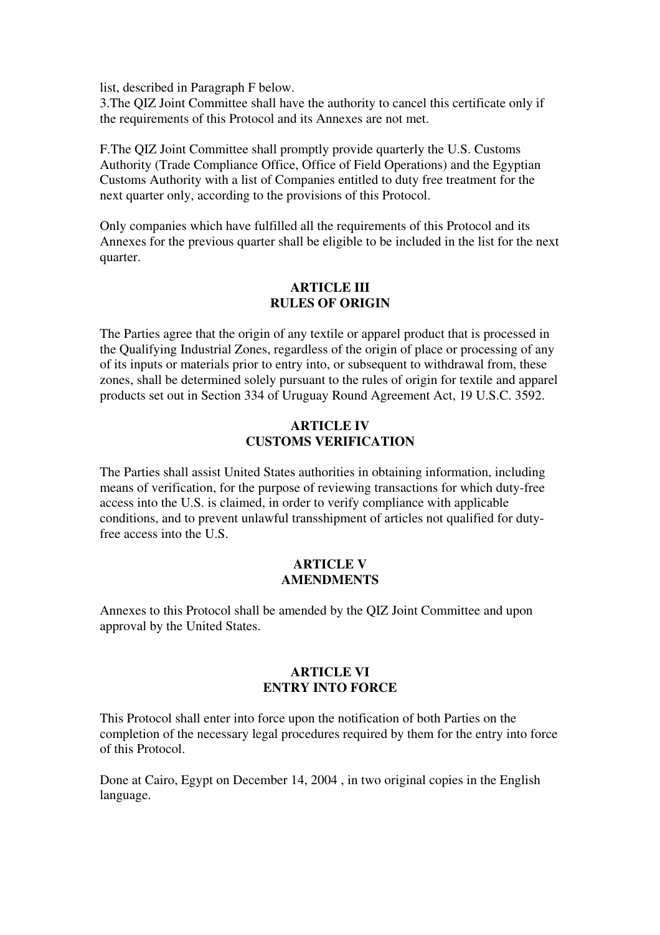list, described in Paragraph F below.

3.The QIZ Joint Committee shall have the authority to cancel this certificate only if the requirements of this Protocol and its Annexes are not met.

F.The QIZ Joint Committee shall promptly provide quarterly the U.S. Customs Authority (Trade Compliance Office, Office of Field Operations) and the Egyptian Customs Authority with a list of Companies entitled to duty free treatment for the next quarter only, according to the provisions of this Protocol.

Only companies which have fulfilled all the requirements of this Protocol and its Annexes for the previous quarter shall be eligible to be included in the list for the next quarter.

#### ARTICLE III RULES OF ORIGIN

The Parties agree that the origin of any textile or apparel product that is processed in the Qualifying Industrial Zones, regardless of the origin of place or processing of any of its inputs or materials prior to entry into, or subsequent to withdrawal from, these zones, shall be determined solely pursuant to the rules of origin for textile and apparel products set out in Section 334 of Uruguay Round Agreement Act, 19 U.S.C. 3592.

### ARTICLE IV CUSTOMS VERIFICATION

The Parties shall assist United States authorities in obtaining information, including means of verification, for the purpose of reviewing transactions for which duty-free access into the U.S. is claimed, in order to verify compliance with applicable conditions, and to prevent unlawful transshipment of articles not qualified for dutyfree access into the U.S.

#### ARTICLE V **AMENDMENTS**

Annexes to this Protocol shall be amended by the QIZ Joint Committee and upon approval by the United States.

#### ARTICLE VI ENTRY INTO FORCE

This Protocol shall enter into force upon the notification of both Parties on the completion of the necessary legal procedures required by them for the entry into force of this Protocol.

Done at Cairo, Egypt on December 14, 2004 , in two original copies in the English language.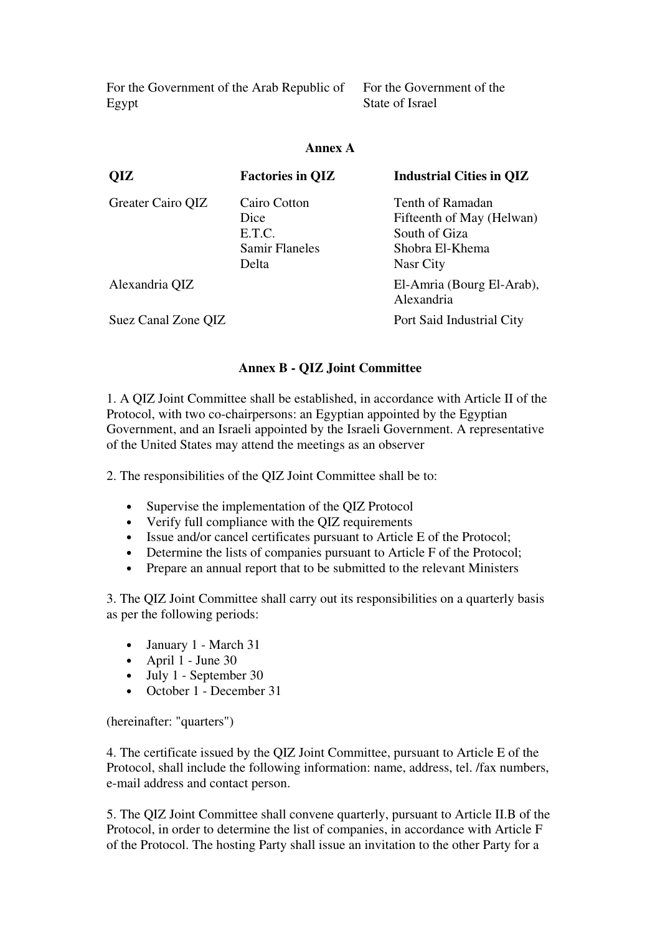For the Government of the Arab Republic of Egypt

For the Government of the State of Israel

### Annex A

| QIZ                 | <b>Factories in QIZ</b>                                          | <b>Industrial Cities in QIZ</b>                                                                |
|---------------------|------------------------------------------------------------------|------------------------------------------------------------------------------------------------|
| Greater Cairo QIZ   | Cairo Cotton<br>Dice<br>E.T.C.<br><b>Samir Flaneles</b><br>Delta | Tenth of Ramadan<br>Fifteenth of May (Helwan)<br>South of Giza<br>Shobra El-Khema<br>Nasr City |
| Alexandria QIZ      |                                                                  | El-Amria (Bourg El-Arab),<br>Alexandria                                                        |
| Suez Canal Zone QIZ |                                                                  | Port Said Industrial City                                                                      |

# Annex B - QIZ Joint Committee

1. A QIZ Joint Committee shall be established, in accordance with Article II of the Protocol, with two co-chairpersons: an Egyptian appointed by the Egyptian Government, and an Israeli appointed by the Israeli Government. A representative of the United States may attend the meetings as an observer

2. The responsibilities of the QIZ Joint Committee shall be to:

- Supervise the implementation of the QIZ Protocol
- Verify full compliance with the QIZ requirements
- Issue and/or cancel certificates pursuant to Article E of the Protocol;
- Determine the lists of companies pursuant to Article F of the Protocol;
- Prepare an annual report that to be submitted to the relevant Ministers

3. The QIZ Joint Committee shall carry out its responsibilities on a quarterly basis as per the following periods:

- January 1 March 31
- April  $1 -$  June 30
- July 1 September 30
- October 1 December 31

(hereinafter: "quarters")

4. The certificate issued by the QIZ Joint Committee, pursuant to Article E of the Protocol, shall include the following information: name, address, tel. /fax numbers, e-mail address and contact person.

5. The QIZ Joint Committee shall convene quarterly, pursuant to Article II.B of the Protocol, in order to determine the list of companies, in accordance with Article F of the Protocol. The hosting Party shall issue an invitation to the other Party for a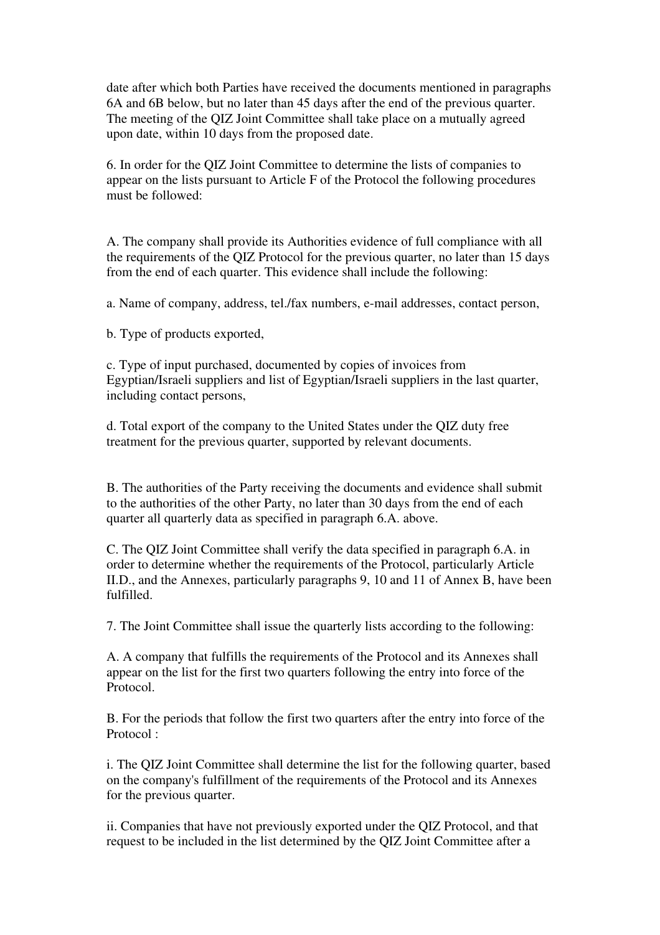date after which both Parties have received the documents mentioned in paragraphs 6A and 6B below, but no later than 45 days after the end of the previous quarter. The meeting of the QIZ Joint Committee shall take place on a mutually agreed upon date, within 10 days from the proposed date.

6. In order for the QIZ Joint Committee to determine the lists of companies to appear on the lists pursuant to Article F of the Protocol the following procedures must be followed:

A. The company shall provide its Authorities evidence of full compliance with all the requirements of the QIZ Protocol for the previous quarter, no later than 15 days from the end of each quarter. This evidence shall include the following:

a. Name of company, address, tel./fax numbers, e-mail addresses, contact person,

b. Type of products exported,

c. Type of input purchased, documented by copies of invoices from Egyptian/Israeli suppliers and list of Egyptian/Israeli suppliers in the last quarter, including contact persons,

d. Total export of the company to the United States under the QIZ duty free treatment for the previous quarter, supported by relevant documents.

B. The authorities of the Party receiving the documents and evidence shall submit to the authorities of the other Party, no later than 30 days from the end of each quarter all quarterly data as specified in paragraph 6.A. above.

C. The QIZ Joint Committee shall verify the data specified in paragraph 6.A. in order to determine whether the requirements of the Protocol, particularly Article II.D., and the Annexes, particularly paragraphs 9, 10 and 11 of Annex B, have been fulfilled.

7. The Joint Committee shall issue the quarterly lists according to the following:

A. A company that fulfills the requirements of the Protocol and its Annexes shall appear on the list for the first two quarters following the entry into force of the Protocol.

B. For the periods that follow the first two quarters after the entry into force of the Protocol :

i. The QIZ Joint Committee shall determine the list for the following quarter, based on the company's fulfillment of the requirements of the Protocol and its Annexes for the previous quarter.

ii. Companies that have not previously exported under the QIZ Protocol, and that request to be included in the list determined by the QIZ Joint Committee after a